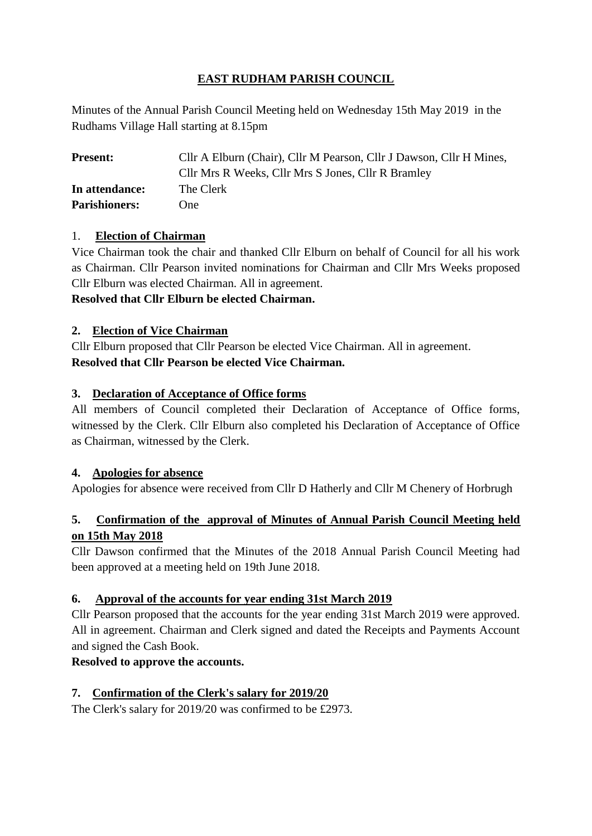# **EAST RUDHAM PARISH COUNCIL**

Minutes of the Annual Parish Council Meeting held on Wednesday 15th May 2019 in the Rudhams Village Hall starting at 8.15pm

| <b>Present:</b>      | Cllr A Elburn (Chair), Cllr M Pearson, Cllr J Dawson, Cllr H Mines, |
|----------------------|---------------------------------------------------------------------|
|                      | Cllr Mrs R Weeks, Cllr Mrs S Jones, Cllr R Bramley                  |
| In attendance:       | The Clerk                                                           |
| <b>Parishioners:</b> | One)                                                                |

### 1. **Election of Chairman**

Vice Chairman took the chair and thanked Cllr Elburn on behalf of Council for all his work as Chairman. Cllr Pearson invited nominations for Chairman and Cllr Mrs Weeks proposed Cllr Elburn was elected Chairman. All in agreement.

**Resolved that Cllr Elburn be elected Chairman.**

### **2. Election of Vice Chairman**

Cllr Elburn proposed that Cllr Pearson be elected Vice Chairman. All in agreement. **Resolved that Cllr Pearson be elected Vice Chairman.**

### **3. Declaration of Acceptance of Office forms**

All members of Council completed their Declaration of Acceptance of Office forms, witnessed by the Clerk. Cllr Elburn also completed his Declaration of Acceptance of Office as Chairman, witnessed by the Clerk.

### **4. Apologies for absence**

Apologies for absence were received from Cllr D Hatherly and Cllr M Chenery of Horbrugh

## **5. Confirmation of the approval of Minutes of Annual Parish Council Meeting held on 15th May 2018**

Cllr Dawson confirmed that the Minutes of the 2018 Annual Parish Council Meeting had been approved at a meeting held on 19th June 2018.

## **6. Approval of the accounts for year ending 31st March 2019**

Cllr Pearson proposed that the accounts for the year ending 31st March 2019 were approved. All in agreement. Chairman and Clerk signed and dated the Receipts and Payments Account and signed the Cash Book.

### **Resolved to approve the accounts.**

## **7. Confirmation of the Clerk's salary for 2019/20**

The Clerk's salary for 2019/20 was confirmed to be £2973.